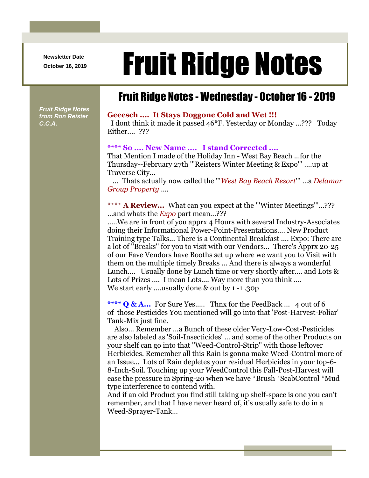**Newsletter Date**

# Newsletter Date **Fruit Ridge Notes**

### Fruit Ridge Notes - Wednesday - October 16 - 2019

*Fruit Ridge Notes from Ron Reister C.C.A.*

#### **Geeesch .... It Stays Doggone Cold and Wet !!!**

I dont think it made it passed 46\*F. Yesterday or Monday ...??? Today Either.... ???

#### **\*\*\*\* So .... New Name .... I stand Corrected ....**

That Mention I made of the Holiday Inn - West Bay Beach ...for the Thursday--February 27th '''Reisters Winter Meeting & Expo''' ....up at Traverse City...

... Thats actually now called the '''*West Bay Beach Resort*''' ...a *Delamar Group Property* ....

\*\*\*\* A Review... What can you expect at the "'Winter Meetings"...??? ...and whats the *Expo* part mean...???

.....We are in front of you apprx 4 Hours with several Industry-Associates doing their Informational Power-Point-Presentations.... New Product Training type Talks... There is a Continental Breakfast .... Expo: There are a lot of ''Breaks'' for you to visit with our Vendors... There's Apprx 20-25 of our Fave Vendors have Booths set up where we want you to Visit with them on the multiple timely Breaks ... And there is always a wonderful Lunch.... Usually done by Lunch time or very shortly after.... and Lots & Lots of Prizes .... I mean Lots.... Way more than you think .... We start early ....usually done & out by 1 -1 .30p

\*\*\*\* **Q & A...** For Sure Yes..... Thnx for the FeedBack ... 4 out of 6 of those Pesticides You mentioned will go into that 'Post-Harvest-Foliar' Tank-Mix just fine.

Also... Remember ...a Bunch of these older Very-Low-Cost-Pesticides are also labeled as 'Soil-Insecticides' ... and some of the other Products on your shelf can go into that ''Weed-Control-Strip'' with those leftover Herbicides. Remember all this Rain is gonna make Weed-Control more of an Issue... Lots of Rain depletes your residual Herbicides in your top-6- 8-Inch-Soil. Touching up your WeedControl this Fall-Post-Harvest will ease the pressure in Spring-20 when we have \*Brush \*ScabControl \*Mud type interference to contend with.

And if an old Product you find still taking up shelf-space is one you can't remember, and that I have never heard of, it's usually safe to do in a Weed-Sprayer-Tank...